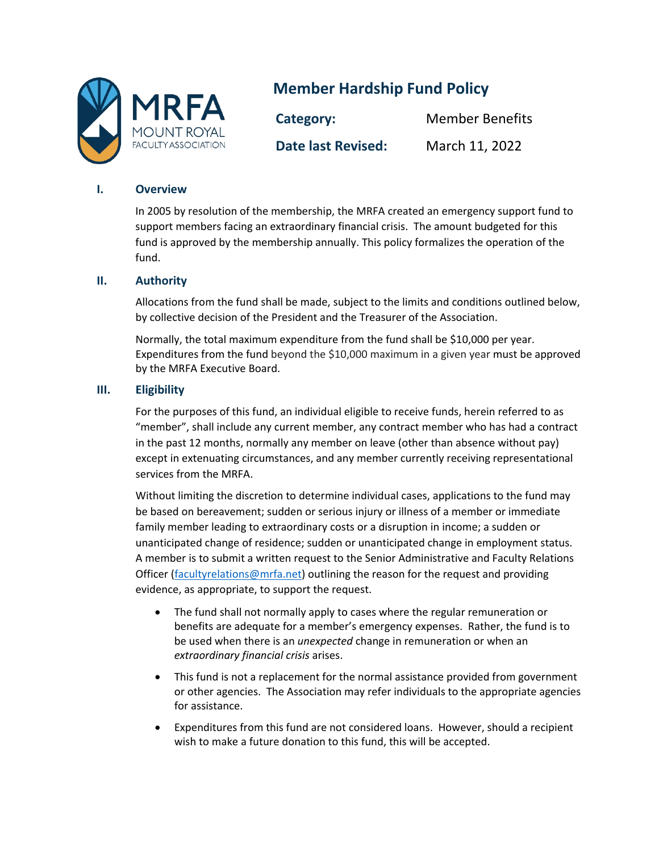

# **Member Hardship Fund Policy**

**Category:** Member Benefits **Date last Revised:** March 11, 2022

### **I. Overview**

In 2005 by resolution of the membership, the MRFA created an emergency support fund to support members facing an extraordinary financial crisis. The amount budgeted for this fund is approved by the membership annually. This policy formalizes the operation of the fund.

### **II. Authority**

Allocations from the fund shall be made, subject to the limits and conditions outlined below, by collective decision of the President and the Treasurer of the Association.

Normally, the total maximum expenditure from the fund shall be \$10,000 per year. Expenditures from the fund beyond the \$10,000 maximum in a given year must be approved by the MRFA Executive Board.

## **III. Eligibility**

For the purposes of this fund, an individual eligible to receive funds, herein referred to as "member", shall include any current member, any contract member who has had a contract in the past 12 months, normally any member on leave (other than absence without pay) except in extenuating circumstances, and any member currently receiving representational services from the MRFA.

Without limiting the discretion to determine individual cases, applications to the fund may be based on bereavement; sudden or serious injury or illness of a member or immediate family member leading to extraordinary costs or a disruption in income; a sudden or unanticipated change of residence; sudden or unanticipated change in employment status. A member is to submit a written request to the Senior Administrative and Faculty Relations Officer [\(facultyrelations@mrfa.net\)](mailto:facultyrelations@mrfa.net) outlining the reason for the request and providing evidence, as appropriate, to support the request.

- The fund shall not normally apply to cases where the regular remuneration or benefits are adequate for a member's emergency expenses. Rather, the fund is to be used when there is an *unexpected* change in remuneration or when an *extraordinary financial crisis* arises.
- This fund is not a replacement for the normal assistance provided from government or other agencies. The Association may refer individuals to the appropriate agencies for assistance.
- Expenditures from this fund are not considered loans. However, should a recipient wish to make a future donation to this fund, this will be accepted.